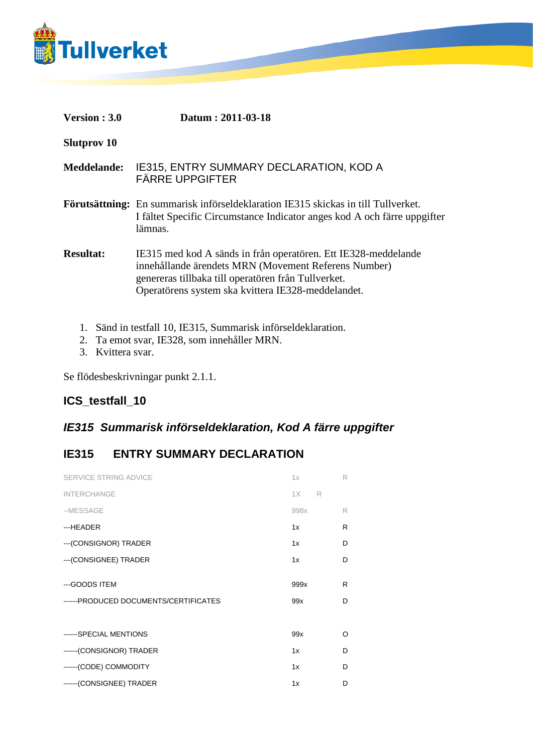

| <b>Version : 3.0</b> | Datum: 2011-03-18 |
|----------------------|-------------------|
|----------------------|-------------------|

**Slutprov 10**

**Meddelande:** IE315, ENTRY SUMMARY DECLARATION, KOD A FÄRRE UPPGIFTER

**Förutsättning:** En summarisk införseldeklaration IE315 skickas in till Tullverket. I fältet Specific Circumstance Indicator anges kod A och färre uppgifter lämnas.

**Resultat:** IE315 med kod A sänds in från operatören. Ett IE328-meddelande innehållande ärendets MRN (Movement Referens Number) genereras tillbaka till operatören från Tullverket. Operatörens system ska kvittera IE328-meddelandet.

- 1. Sänd in testfall 10, IE315, Summarisk införseldeklaration.
- 2. Ta emot svar, IE328, som innehåller MRN.
- 3. Kvittera svar.

Se flödesbeskrivningar punkt 2.1.1.

## **ICS\_testfall\_10**

## *IE315 Summarisk införseldeklaration, Kod A färre uppgifter*

## **IE315 ENTRY SUMMARY DECLARATION**

| SERVICE STRING ADVICE                 | 1x      | R |
|---------------------------------------|---------|---|
| <b>INTERCHANGE</b>                    | 1X<br>R |   |
| --MESSAGE                             | 998x    | R |
| ---HEADER                             | 1x      | R |
| --- (CONSIGNOR) TRADER                | 1x      | D |
| --- (CONSIGNEE) TRADER                | 1x      | D |
|                                       |         |   |
| ---GOODS ITEM                         | 999x    | R |
| ------PRODUCED DOCUMENTS/CERTIFICATES | 99x     | D |
|                                       |         |   |
|                                       |         |   |
| ------SPECIAL MENTIONS                | 99x     | O |
| ------(CONSIGNOR) TRADER              | 1x      | D |
| ------(CODE) COMMODITY                | 1x      | D |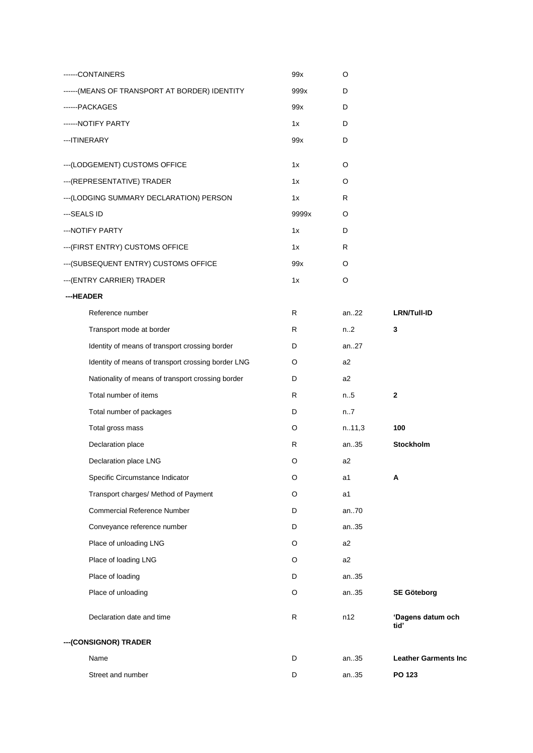|             | ------CONTAINERS                                   | 99x   | O      |                             |
|-------------|----------------------------------------------------|-------|--------|-----------------------------|
|             | ------ (MEANS OF TRANSPORT AT BORDER) IDENTITY     | 999x  | D      |                             |
|             | ------PACKAGES                                     | 99x   | D      |                             |
|             | ------ NOTIFY PARTY                                | 1x    | D      |                             |
|             | --- ITINERARY                                      | 99x   | D      |                             |
|             | --- (LODGEMENT) CUSTOMS OFFICE                     | 1x    | O      |                             |
|             | --- (REPRESENTATIVE) TRADER                        | 1x    | O      |                             |
|             | --- (LODGING SUMMARY DECLARATION) PERSON           | 1x    | R      |                             |
| ---SEALS ID |                                                    | 9999x | O      |                             |
|             | --- NOTIFY PARTY                                   | 1x    | D      |                             |
|             | --- (FIRST ENTRY) CUSTOMS OFFICE                   | 1x    | R      |                             |
|             | --- (SUBSEQUENT ENTRY) CUSTOMS OFFICE              | 99x   | O      |                             |
|             | --- (ENTRY CARRIER) TRADER                         | 1x    | O      |                             |
| ---HEADER   |                                                    |       |        |                             |
|             | Reference number                                   | R     | an22   | <b>LRN/Tull-ID</b>          |
|             | Transport mode at border                           | R     | n.2    | 3                           |
|             | Identity of means of transport crossing border     | D     | an27   |                             |
|             | Identity of means of transport crossing border LNG | O     | a2     |                             |
|             | Nationality of means of transport crossing border  | D     | a2     |                             |
|             | Total number of items                              | R     | n.5    | 2                           |
|             | Total number of packages                           | D     | n7     |                             |
|             | Total gross mass                                   | O     | n.11,3 | 100                         |
|             | Declaration place                                  | R     | an35   | Stockholm                   |
|             | Declaration place LNG                              | O     | a2     |                             |
|             | Specific Circumstance Indicator                    | O     | a1     | А                           |
|             | Transport charges/ Method of Payment               | O     | a1     |                             |
|             | <b>Commercial Reference Number</b>                 | D     | an70   |                             |
|             | Conveyance reference number                        | D     | an35   |                             |
|             | Place of unloading LNG                             | O     | a2     |                             |
|             | Place of loading LNG                               | O     | a2     |                             |
|             | Place of loading                                   | D     | an35   |                             |
|             | Place of unloading                                 | O     | an35   | <b>SE Göteborg</b>          |
|             | Declaration date and time                          | R     | n12    | 'Dagens datum och<br>tid'   |
|             | --- (CONSIGNOR) TRADER                             |       |        |                             |
|             | Name                                               | D     | an35   | <b>Leather Garments Inc</b> |
|             | Street and number                                  | D     | an35   | PO 123                      |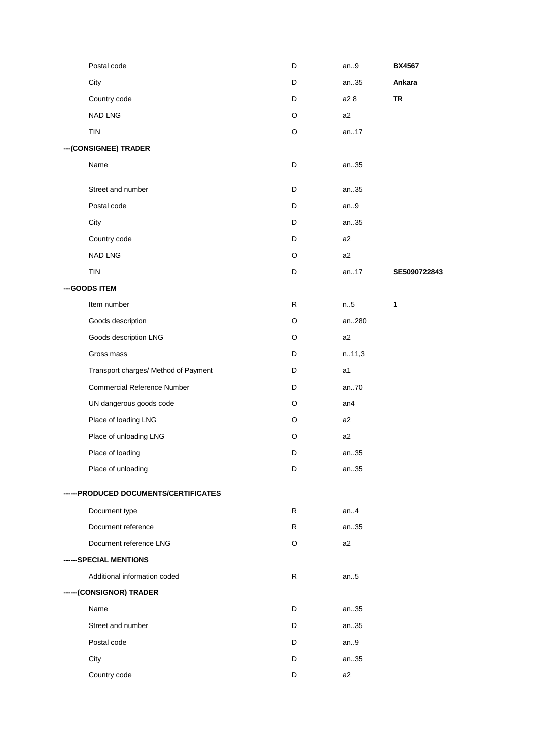| Postal code                           | D | an.9           | <b>BX4567</b> |
|---------------------------------------|---|----------------|---------------|
| City                                  | D | an35           | Ankara        |
| Country code                          | D | a2 8           | TR            |
| <b>NAD LNG</b>                        | O | a2             |               |
| TIN                                   | O | an.17          |               |
| --- (CONSIGNEE) TRADER                |   |                |               |
| Name                                  | D | an35           |               |
| Street and number                     | D | an35           |               |
| Postal code                           | D | an.9           |               |
| City                                  | D | an35           |               |
| Country code                          | D | a2             |               |
| <b>NAD LNG</b>                        | O | a2             |               |
| TIN                                   | D | an17           | SE5090722843  |
| --- GOODS ITEM                        |   |                |               |
| Item number                           | R | n.5            | 1             |
| Goods description                     | O | an280          |               |
| Goods description LNG                 | O | a2             |               |
| Gross mass                            | D | n.11,3         |               |
| Transport charges/ Method of Payment  | D | a1             |               |
| <b>Commercial Reference Number</b>    | D | an70           |               |
| UN dangerous goods code               | O | an4            |               |
| Place of loading LNG                  | O | a <sub>2</sub> |               |
| Place of unloading LNG                | O | a2             |               |
| Place of loading                      | D | an35           |               |
| Place of unloading                    | D | an35           |               |
| ------PRODUCED DOCUMENTS/CERTIFICATES |   |                |               |
| Document type                         | R | an.4           |               |
| Document reference                    | R | an35           |               |
| Document reference LNG                | O | a2             |               |
| ------SPECIAL MENTIONS                |   |                |               |
| Additional information coded          | R | an.5           |               |
| ------(CONSIGNOR) TRADER              |   |                |               |
| Name                                  | D | an35           |               |
| Street and number                     | D | an35           |               |
| Postal code                           | D | an.9           |               |
| City                                  | D | an35           |               |
| Country code                          | D | a <sub>2</sub> |               |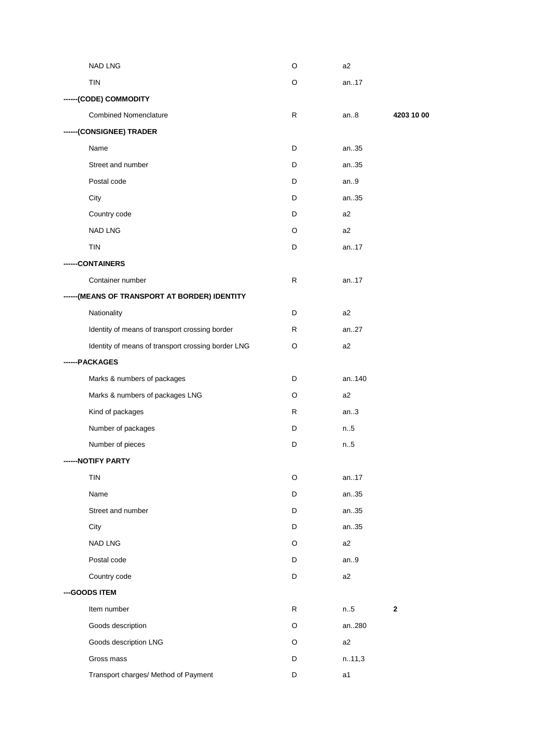| <b>NAD LNG</b>                                     | O  | a <sub>2</sub> |              |
|----------------------------------------------------|----|----------------|--------------|
| <b>TIN</b>                                         | O  | an17           |              |
| ------(CODE) COMMODITY                             |    |                |              |
| <b>Combined Nomenclature</b>                       | R  | an.8           | 4203 10 00   |
| ------(CONSIGNEE) TRADER                           |    |                |              |
| Name                                               | D  | an35           |              |
| Street and number                                  | D  | an35           |              |
| Postal code                                        | D  | an.9           |              |
| City                                               | D  | an35           |              |
| Country code                                       | D  | a2             |              |
| NAD LNG                                            | O  | a2             |              |
| <b>TIN</b>                                         | D  | an17           |              |
| -CONTAINERS                                        |    |                |              |
| Container number                                   | R  | an17           |              |
| ------ (MEANS OF TRANSPORT AT BORDER) IDENTITY     |    |                |              |
| Nationality                                        | D  | a2             |              |
| Identity of means of transport crossing border     | R  | an27           |              |
| Identity of means of transport crossing border LNG | O  | a2             |              |
| ------PACKAGES                                     |    |                |              |
| Marks & numbers of packages                        | D  | an140          |              |
| Marks & numbers of packages LNG                    | O  | a2             |              |
| Kind of packages                                   | R. | an.3           |              |
| Number of packages                                 | D  | n.5            |              |
| Number of pieces                                   | D  | n.5            |              |
| ------NOTIFY PARTY                                 |    |                |              |
| <b>TIN</b>                                         | O  | an17           |              |
| Name                                               | D  | an35           |              |
| Street and number                                  | D  | an35           |              |
| City                                               | D  | an35           |              |
| NAD LNG                                            | O  | a2             |              |
| Postal code                                        | D  | an.9           |              |
| Country code                                       | D  | a2             |              |
| --- GOODS ITEM                                     |    |                |              |
| Item number                                        | R  | n.5            | $\mathbf{2}$ |
| Goods description                                  | O  | an280          |              |
| Goods description LNG                              | O  | a2             |              |
| Gross mass                                         | D  | n.11,3         |              |
| Transport charges/ Method of Payment               | D  | a1             |              |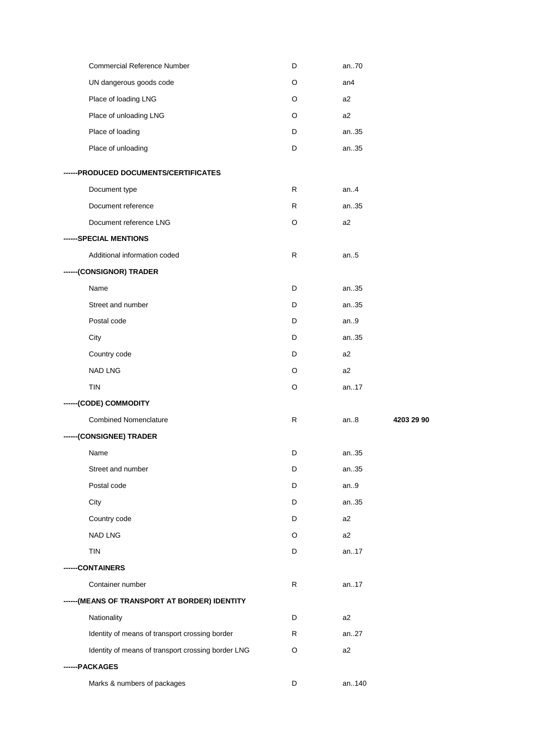| Commercial Reference Number                        | D  | an70    |            |
|----------------------------------------------------|----|---------|------------|
| UN dangerous goods code                            | O  | an4     |            |
| Place of loading LNG                               | O  | a2      |            |
| Place of unloading LNG                             | O  | a2      |            |
| Place of loading                                   | D  | an35    |            |
| Place of unloading                                 | D  | an35    |            |
| ------PRODUCED DOCUMENTS/CERTIFICATES              |    |         |            |
| Document type                                      | R. | an. $4$ |            |
| Document reference                                 | R  | an35    |            |
| Document reference LNG                             | O  | a2      |            |
| ------SPECIAL MENTIONS                             |    |         |            |
| Additional information coded                       | R  | an.5    |            |
| ------(CONSIGNOR) TRADER                           |    |         |            |
| Name                                               | D  | an35    |            |
| Street and number                                  | D  | an35    |            |
| Postal code                                        | D  | an.9    |            |
| City                                               | D  | an35    |            |
| Country code                                       | D  | a2      |            |
| <b>NAD LNG</b>                                     | O  | a2      |            |
| <b>TIN</b>                                         | O  | an17    |            |
| ------(CODE) COMMODITY                             |    |         |            |
| <b>Combined Nomenclature</b>                       | R  | an.8    | 4203 29 90 |
| ------(CONSIGNEE) TRADER                           |    |         |            |
| Name                                               | D  | an35    |            |
| Street and number                                  | D  | an35    |            |
| Postal code                                        | D  | an.9    |            |
| City                                               | D  | an35    |            |
| Country code                                       | D  | a2      |            |
| <b>NAD LNG</b>                                     | O  | a2      |            |
| TIN                                                | D  | an17    |            |
| -CONTAINERS                                        |    |         |            |
| Container number                                   | R  | an17    |            |
| -----(MEANS OF TRANSPORT AT BORDER) IDENTITY       |    |         |            |
| Nationality                                        | D  | a2      |            |
|                                                    |    | an27    |            |
| Identity of means of transport crossing border     | R  |         |            |
| Identity of means of transport crossing border LNG | O  | a2      |            |
| ---PACKAGES                                        |    |         |            |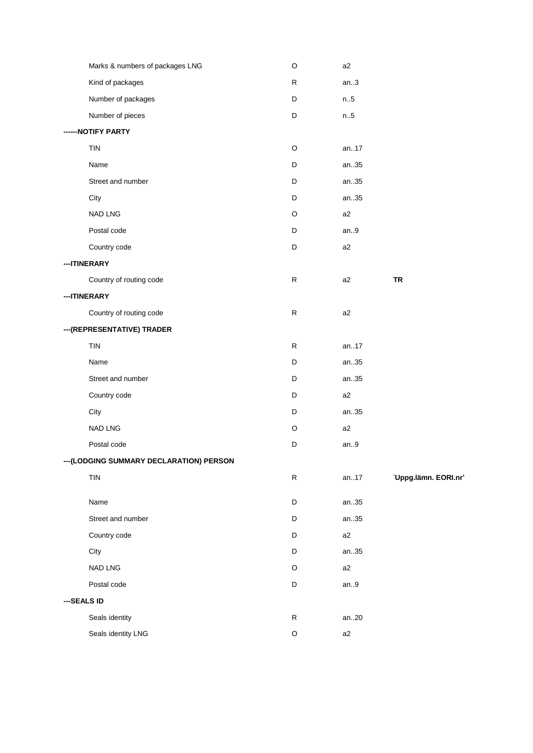| Marks & numbers of packages LNG          | $\circ$     | a2    |                      |
|------------------------------------------|-------------|-------|----------------------|
| Kind of packages                         | R           | an.3  |                      |
| Number of packages                       | D           | n.5   |                      |
| Number of pieces                         | $\mathsf D$ | n.5   |                      |
| ------NOTIFY PARTY                       |             |       |                      |
| <b>TIN</b>                               | O           | an17  |                      |
| Name                                     | D           | an35  |                      |
| Street and number                        | D           | an35  |                      |
| City                                     | D           | an35  |                      |
| <b>NAD LNG</b>                           | O           | a2    |                      |
| Postal code                              | D           | an.9  |                      |
| Country code                             | $\mathsf D$ | a2    |                      |
| --- ITINERARY                            |             |       |                      |
| Country of routing code                  | R           | a2    | <b>TR</b>            |
| --- ITINERARY                            |             |       |                      |
| Country of routing code                  | ${\sf R}$   | a2    |                      |
| --- (REPRESENTATIVE) TRADER              |             |       |                      |
| <b>TIN</b>                               | ${\sf R}$   | an17  |                      |
| Name                                     | D           | an35  |                      |
| Street and number                        | D           | an35  |                      |
| Country code                             | D           | a2    |                      |
| City                                     | D           | an35  |                      |
| <b>NAD LNG</b>                           | O           | a2    |                      |
| Postal code                              | D           | an.9  |                      |
| --- (LODGING SUMMARY DECLARATION) PERSON |             |       |                      |
| <b>TIN</b>                               | ${\sf R}$   | an.17 | 'Uppg.lämn. EORI.nr' |
| Name                                     | $\mathsf D$ | an35  |                      |
| Street and number                        | D           | an35  |                      |
| Country code                             | D           | a2    |                      |
| City                                     | D           | an35  |                      |
| <b>NAD LNG</b>                           | O           | a2    |                      |
| Postal code                              | $\mathsf D$ | an.9  |                      |
| ---SEALS ID                              |             |       |                      |
| Seals identity                           | ${\sf R}$   | an20  |                      |
| Seals identity LNG                       | $\mathsf O$ | a2    |                      |
|                                          |             |       |                      |